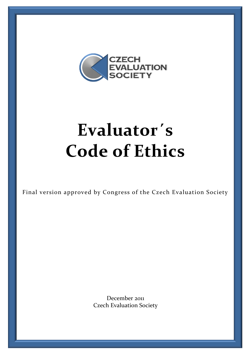

# **Evaluator´s Code of Ethics**

Final version approved by Congress of the Czech Evaluation Society

December 2011 Czech Evaluation Society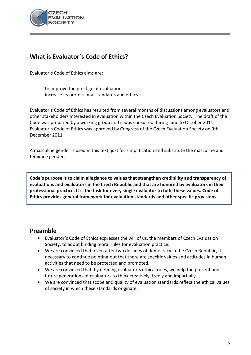

## **What is Evaluator´s Code of Ethics?**

Evaluator´s Code of Ethics aims are:

- to improve the prestige of evaluation
- increase its professional standards and ethics

Evaluator´s Code of Ethics has resulted from several months of discussions among evaluators and other stakeholders interested in evaluation within the Czech Evaluation Society. The draft of the Code was prepared by a working group and it was consulted during June to October 2011. Evaluator´s Code of Ethics was approved by Congress of the Czech Evaluation Society on 9th December 2011.

A masculine gender is used in this text, just for simplification and substitute the masculine and feminine gender.

**Code´s purpose is to claim allegiance to values that strengthen credibility and transparency of evaluations and evaluators in the Czech Republic and that are honored by evaluators in their professional practice. It is the task for every single evaluator to fulfil these values. Code of Ethics provides general framework for evaluation standards and other specific provisions.**

### **Preamble**

- Evaluator´s Code of Ethics expresses the will of us, the members of Czech Evaluation Society, to adopt binding moral rules for evaluation practice.
- We are convinced that, even after two decades of democracy in the Czech Republic, it is necessary to continue pointing-out that there are specific values and attitudes in human activities that need to be protected and promoted.
- We are convinced that, by defining evaluator´s ethical rules, we help the present and future generations of evaluators to think creatively, freely and impartially.
- We are convinced that scope and quality of evaluation standards reflect the ethical values of society in which these standards originate.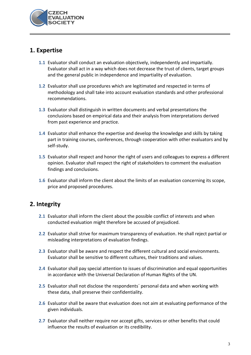

### **1. Expertise**

- **1.1** Evaluator shall conduct an evaluation objectively, independently and impartially. Evaluator shall act in a way which does not decrease the trust of clients, target groups and the general public in independence and impartiality of evaluation.
- **1.2** Evaluator shall use procedures which are legitimated and respected in terms of methodology and shall take into account evaluation standards and other professional recommendations.
- **1.3** Evaluator shall distinguish in written documents and verbal presentations the conclusions based on empirical data and their analysis from interpretations derived from past experience and practice.
- **1.4** Evaluator shall enhance the expertise and develop the knowledge and skills by taking part in training courses, conferences, through cooperation with other evaluators and by self-study.
- **1.5** Evaluator shall respect and honor the right of users and colleagues to express a different opinion. Evaluator shall respect the right of stakeholders to comment the evaluation findings and conclusions.
- **1.6** Evaluator shall inform the client about the limits of an evaluation concerning its scope, price and proposed procedures.

### **2. Integrity**

- **2.1** Evaluator shall inform the client about the possible conflict of interests and when conducted evaluation might therefore be accused of prejudiced.
- **2.2** Evaluator shall strive for maximum transparency of evaluation. He shall reject partial or misleading interpretations of evaluation findings.
- **2.3** Evaluator shall be aware and respect the different cultural and social environments. Evaluator shall be sensitive to different cultures, their traditions and values.
- **2.4** Evaluator shall pay special attention to issues of discrimination and equal opportunities in accordance with the Universal Declaration of Human Rights of the UN.
- **2.5** Evaluator shall not disclose the respondents´ personal data and when working with these data, shall preserve their confidentiality.
- **2.6** Evaluator shall be aware that evaluation does not aim at evaluating performance of the given individuals.
- **2.7** Evaluator shall neither require nor accept gifts, services or other benefits that could influence the results of evaluation or its credibility.